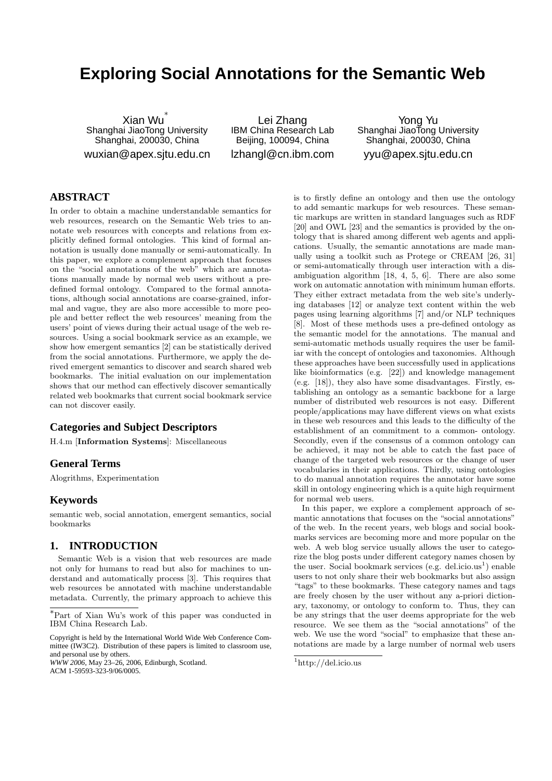# **Exploring Social Annotations for the Semantic Web**

Xian Wu ∗ Shanghai JiaoTong University Shanghai, 200030, China wuxian@apex.sjtu.edu.cn

Lei Zhang IBM China Research Lab Beijing, 100094, China lzhangl@cn.ibm.com

Yong Yu Shanghai JiaoTong University Shanghai, 200030, China yyu@apex.sjtu.edu.cn

## **ABSTRACT**

In order to obtain a machine understandable semantics for web resources, research on the Semantic Web tries to annotate web resources with concepts and relations from explicitly defined formal ontologies. This kind of formal annotation is usually done manually or semi-automatically. In this paper, we explore a complement approach that focuses on the "social annotations of the web" which are annotations manually made by normal web users without a predefined formal ontology. Compared to the formal annotations, although social annotations are coarse-grained, informal and vague, they are also more accessible to more people and better reflect the web resources' meaning from the users' point of views during their actual usage of the web resources. Using a social bookmark service as an example, we show how emergent semantics [2] can be statistically derived from the social annotations. Furthermore, we apply the derived emergent semantics to discover and search shared web bookmarks. The initial evaluation on our implementation shows that our method can effectively discover semantically related web bookmarks that current social bookmark service can not discover easily.

## **Categories and Subject Descriptors**

H.4.m [Information Systems]: Miscellaneous

## **General Terms**

Alogrithms, Experimentation

### **Keywords**

semantic web, social annotation, emergent semantics, social bookmarks

## **1. INTRODUCTION**

Semantic Web is a vision that web resources are made not only for humans to read but also for machines to understand and automatically process [3]. This requires that web resources be annotated with machine understandable metadata. Currently, the primary approach to achieve this

is to firstly define an ontology and then use the ontology to add semantic markups for web resources. These semantic markups are written in standard languages such as RDF [20] and OWL [23] and the semantics is provided by the ontology that is shared among different web agents and applications. Usually, the semantic annotations are made manually using a toolkit such as Protege or CREAM [26, 31] or semi-automatically through user interaction with a disambiguation algorithm [18, 4, 5, 6]. There are also some work on automatic annotation with minimum human efforts. They either extract metadata from the web site's underlying databases [12] or analyze text content within the web pages using learning algorithms [7] and/or NLP techniques [8]. Most of these methods uses a pre-defined ontology as the semantic model for the annotations. The manual and semi-automatic methods usually requires the user be familiar with the concept of ontologies and taxonomies. Although these approaches have been successfully used in applications like bioinformatics (e.g. [22]) and knowledge management (e.g. [18]), they also have some disadvantages. Firstly, establishing an ontology as a semantic backbone for a large number of distributed web resources is not easy. Different people/applications may have different views on what exists in these web resources and this leads to the difficulty of the establishment of an commitment to a common- ontology. Secondly, even if the consensus of a common ontology can be achieved, it may not be able to catch the fast pace of change of the targeted web resources or the change of user vocabularies in their applications. Thirdly, using ontologies to do manual annotation requires the annotator have some skill in ontology engineering which is a quite high requirment for normal web users.

In this paper, we explore a complement approach of semantic annotations that focuses on the "social annotations" of the web. In the recent years, web blogs and social bookmarks services are becoming more and more popular on the web. A web blog service usually allows the user to categorize the blog posts under different category names chosen by the user. Social bookmark services  $(e.g.$  del.icio.us<sup>1</sup>) enable users to not only share their web bookmarks but also assign "tags" to these bookmarks. These category names and tags are freely chosen by the user without any a-priori dictionary, taxonomy, or ontology to conform to. Thus, they can be any strings that the user deems appropriate for the web resource. We see them as the "social annotations" of the web. We use the word "social" to emphasize that these annotations are made by a large number of normal web users

<sup>∗</sup>Part of Xian Wu's work of this paper was conducted in IBM China Research Lab.

Copyright is held by the International World Wide Web Conference Committee (IW3C2). Distribution of these papers is limited to classroom use, and personal use by others.

*WWW 2006*, May 23–26, 2006, Edinburgh, Scotland. ACM 1-59593-323-9/06/0005.

<sup>1</sup>http://del.icio.us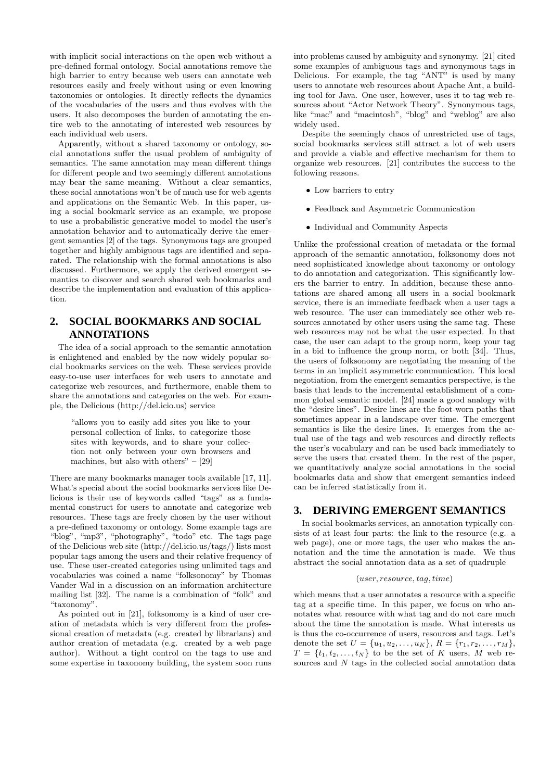with implicit social interactions on the open web without a pre-defined formal ontology. Social annotations remove the high barrier to entry because web users can annotate web resources easily and freely without using or even knowing taxonomies or ontologies. It directly reflects the dynamics of the vocabularies of the users and thus evolves with the users. It also decomposes the burden of annotating the entire web to the annotating of interested web resources by each individual web users.

Apparently, without a shared taxonomy or ontology, social annotations suffer the usual problem of ambiguity of semantics. The same annotation may mean different things for different people and two seemingly different annotations may bear the same meaning. Without a clear semantics, these social annotations won't be of much use for web agents and applications on the Semantic Web. In this paper, using a social bookmark service as an example, we propose to use a probabilistic generative model to model the user's annotation behavior and to automatically derive the emergent semantics [2] of the tags. Synonymous tags are grouped together and highly ambiguous tags are identified and separated. The relationship with the formal annotations is also discussed. Furthermore, we apply the derived emergent semantics to discover and search shared web bookmarks and describe the implementation and evaluation of this application.

## **2. SOCIAL BOOKMARKS AND SOCIAL ANNOTATIONS**

The idea of a social approach to the semantic annotation is enlightened and enabled by the now widely popular social bookmarks services on the web. These services provide easy-to-use user interfaces for web users to annotate and categorize web resources, and furthermore, enable them to share the annotations and categories on the web. For example, the Delicious (http://del.icio.us) service

"allows you to easily add sites you like to your personal collection of links, to categorize those sites with keywords, and to share your collection not only between your own browsers and machines, but also with others" – [29]

There are many bookmarks manager tools available [17, 11]. What's special about the social bookmarks services like Delicious is their use of keywords called "tags" as a fundamental construct for users to annotate and categorize web resources. These tags are freely chosen by the user without a pre-defined taxonomy or ontology. Some example tags are "blog", "mp3", "photography", "todo" etc. The tags page of the Delicious web site (http://del.icio.us/tags/) lists most popular tags among the users and their relative frequency of use. These user-created categories using unlimited tags and vocabularies was coined a name "folksonomy" by Thomas Vander Wal in a discussion on an information architecture mailing list [32]. The name is a combination of "folk" and "taxonomy".

As pointed out in [21], folksonomy is a kind of user creation of metadata which is very different from the professional creation of metadata (e.g. created by librarians) and author creation of metadata (e.g. created by a web page author). Without a tight control on the tags to use and some expertise in taxonomy building, the system soon runs

into problems caused by ambiguity and synonymy. [21] cited some examples of ambiguous tags and synonymous tags in Delicious. For example, the tag "ANT" is used by many users to annotate web resources about Apache Ant, a building tool for Java. One user, however, uses it to tag web resources about "Actor Network Theory". Synonymous tags, like "mac" and "macintosh", "blog" and "weblog" are also widely used.

Despite the seemingly chaos of unrestricted use of tags, social bookmarks services still attract a lot of web users and provide a viable and effective mechanism for them to organize web resources. [21] contributes the success to the following reasons.

- Low barriers to entry
- Feedback and Asymmetric Communication
- Individual and Community Aspects

Unlike the professional creation of metadata or the formal approach of the semantic annotation, folksonomy does not need sophisticated knowledge about taxonomy or ontology to do annotation and categorization. This significantly lowers the barrier to entry. In addition, because these annotations are shared among all users in a social bookmark service, there is an immediate feedback when a user tags a web resource. The user can immediately see other web resources annotated by other users using the same tag. These web resources may not be what the user expected. In that case, the user can adapt to the group norm, keep your tag in a bid to influence the group norm, or both [34]. Thus, the users of folksonomy are negotiating the meaning of the terms in an implicit asymmetric communication. This local negotiation, from the emergent semantics perspective, is the basis that leads to the incremental establishment of a common global semantic model. [24] made a good analogy with the "desire lines". Desire lines are the foot-worn paths that sometimes appear in a landscape over time. The emergent semantics is like the desire lines. It emerges from the actual use of the tags and web resources and directly reflects the user's vocabulary and can be used back immediately to serve the users that created them. In the rest of the paper, we quantitatively analyze social annotations in the social bookmarks data and show that emergent semantics indeed can be inferred statistically from it.

### **3. DERIVING EMERGENT SEMANTICS**

In social bookmarks services, an annotation typically consists of at least four parts: the link to the resource (e.g. a web page), one or more tags, the user who makes the annotation and the time the annotation is made. We thus abstract the social annotation data as a set of quadruple

#### (user, resource, tag, time)

which means that a user annotates a resource with a specific tag at a specific time. In this paper, we focus on who annotates what resource with what tag and do not care much about the time the annotation is made. What interests us is thus the co-occurrence of users, resources and tags. Let's denote the set  $U = \{u_1, u_2, \ldots, u_K\}, R = \{r_1, r_2, \ldots, r_M\},\$  $T = \{t_1, t_2, \ldots, t_N\}$  to be the set of K users, M web resources and N tags in the collected social annotation data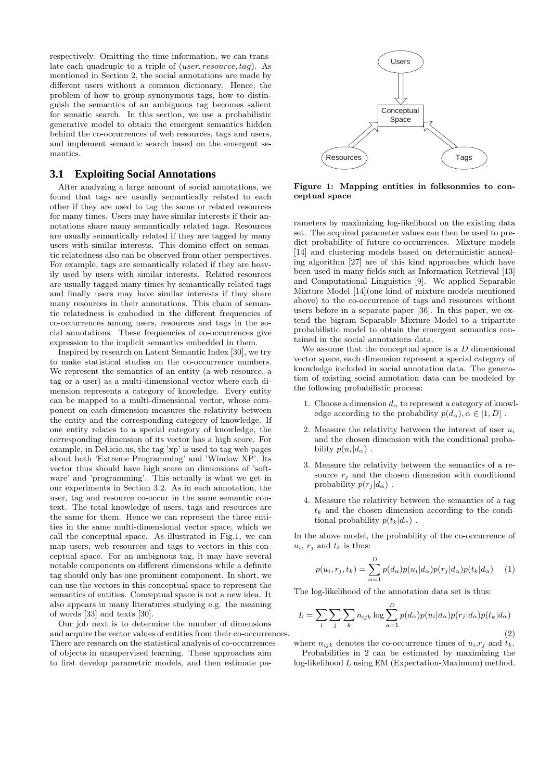respectively. Omitting the time information, we can translate each quadruple to a triple of (user, resource, tag). As mentioned in Section 2, the social annotations are made by different users without a common dictionary. Hence, the problem of how to group synonymous tags, how to distinguish the semantics of an ambiguous tag becomes salient for sematic search. In this section, we use a probabilistic generative model to obtain the emergent semantics hidden behind the co-occurrences of web resources, tags and users, and implement semantic search based on the emergent semantics.

## **3.1 Exploiting Social Annotations**

After analyzing a large amount of social annotations, we found that tags are usually semantically related to each other if they are used to tag the same or related resources for many times. Users may have similar interests if their annotations share many semantically related tags. Resources are usually semantically related if they are tagged by many users with similar interests. This domino effect on semantic relatedness also can be observed from other perspectives. For example, tags are semantically related if they are heavily used by users with similar interests. Related resources are usually tagged many times by semantically related tags and finally users may have similar interests if they share many resources in their annotations. This chain of semantic relatedness is embodied in the different frequencies of co-occurrences among users, resources and tags in the social annotations. These frequencies of co-occurrences give expression to the implicit semantics embedded in them.

Inspired by research on Latent Semantic Index [30], we try to make statistical studies on the co-occurrence numbers. We represent the semantics of an entity (a web resource, a tag or a user) as a multi-dimensional vector where each dimension represents a category of knowledge. Every entity can be mapped to a multi-dimensional vector, whose component on each dimension measures the relativity between the entity and the corresponding category of knowledge. If one entity relates to a special category of knowledge, the corresponding dimension of its vector has a high score. For example, in Del.icio.us, the tag 'xp' is used to tag web pages about both 'Extreme Programming' and 'Window XP'. Its vector thus should have high score on dimensions of 'software' and 'programming'. This actually is what we get in our experiments in Section 3.2. As in each annotation, the user, tag and resource co-occur in the same semantic context. The total knowledge of users, tags and resources are the same for them. Hence we can represent the three entities in the same multi-dimensional vector space, which we call the conceptual space. As illustrated in Fig.1, we can map users, web resources and tags to vectors in this conceptual space. For an ambiguous tag, it may have several notable components on different dimensions while a definite tag should only has one prominent component. In short, we can use the vectors in this conceptual space to represent the semantics of entities. Conceptual space is not a new idea. It also appears in many literatures studying e.g. the meaning of words [33] and texts [30].

Our job next is to determine the number of dimensions and acquire the vector values of entities from their co-occurrences. There are research on the statistical analysis of co-occurrences of objects in unsupervised learning. These approaches aim to first develop parametric models, and then estimate pa-



Figure 1: Mapping entities in folksonmies to conceptual space

rameters by maximizing log-likelihood on the existing data set. The acquired parameter values can then be used to predict probability of future co-occurrences. Mixture models [14] and clustering models based on deterministic annealing algorithm [27] are of this kind approaches which have been used in many fields such as Information Retrieval [13] and Computational Linguistics [9]. We applied Separable Mixture Model [14](one kind of mixture models mentioned above) to the co-occurrence of tags and resources without users before in a separate paper [36]. In this paper, we extend the bigram Separable Mixture Model to a tripartite probabilistic model to obtain the emergent semantics contained in the social annotations data.

We assume that the conceptual space is a  $D$  dimensional vector space, each dimension represent a special category of knowledge included in social annotation data. The generation of existing social annotation data can be modeled by the following probabilistic process:

- 1. Choose a dimension  $d_{\alpha}$  to represent a category of knowledge according to the probability  $p(d_{\alpha}), \alpha \in [1, D]$ .
- 2. Measure the relativity between the interest of user  $u_i$ and the chosen dimension with the conditional probability  $p(u_i|d_\alpha)$ .
- 3. Measure the relativity between the semantics of a resource  $r_i$  and the chosen dimension with conditional probability  $p(r_j|d_\alpha)$ .
- 4. Measure the relativity between the semantics of a tag  $t_k$  and the chosen dimension according to the conditional probability  $p(t_k|d_\alpha)$ .

In the above model, the probability of the co-occurrence of  $u_i, r_j$  and  $t_k$  is thus:

$$
p(u_i, r_j, t_k) = \sum_{\alpha=1}^{D} p(d_{\alpha}) p(u_i|d_{\alpha}) p(r_j|d_{\alpha}) p(t_k|d_{\alpha}) \quad (1)
$$

The log-likelihood of the annotation data set is thus:

$$
L = \sum_{i} \sum_{j} \sum_{k} n_{ijk} \log \sum_{\alpha=1}^{D} p(d_{\alpha}) p(u_i|d_{\alpha}) p(r_j|d_{\alpha}) p(t_k|d_{\alpha})
$$
\n(2)

where  $n_{ijk}$  denotes the co-occurrence times of  $u_i, r_j$  and  $t_k$ . Probabilities in 2 can be estimated by maximizing the

log-likelihood L using EM (Expectation-Maximum) method.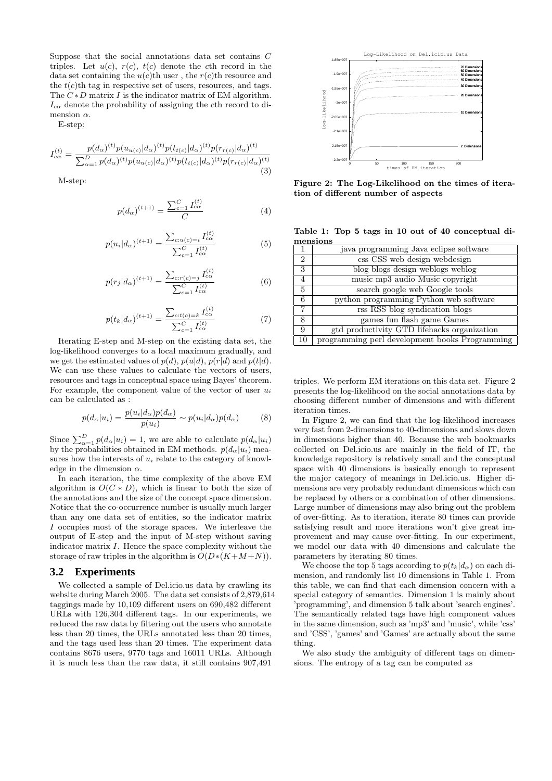Suppose that the social annotations data set contains C triples. Let  $u(c)$ ,  $r(c)$ ,  $t(c)$  denote the cth record in the data set containing the  $u(c)$ th user, the  $r(c)$ th resource and the  $t(c)$ th tag in respective set of users, resources, and tags. The  $C * D$  matrix I is the indicator matrix of EM algorithm.  $I_{c\alpha}$  denote the probability of assigning the cth record to dimension  $\alpha$ .

E-step:

$$
I_{c\alpha}^{(t)} = \frac{p(d_{\alpha})^{(t)} p(u_{u(c)}|d_{\alpha})^{(t)} p(t_{t(c)}|d_{\alpha})^{(t)} p(r_{r(c)}|d_{\alpha})^{(t)}}{\sum_{\alpha=1}^{D} p(d_{\alpha})^{(t)} p(u_{u(c)}|d_{\alpha})^{(t)} p(t_{t(c)}|d_{\alpha})^{(t)} p(r_{r(c)}|d_{\alpha})^{(t)}}
$$
(3)

M-step:

$$
p(d_{\alpha})^{(t+1)} = \frac{\sum_{c=1}^{C} I_{c\alpha}^{(t)}}{C}
$$
 (4)

$$
p(u_i|d_{\alpha})^{(t+1)} = \frac{\sum_{c:u(c)=i} I_{c\alpha}^{(t)}}{\sum_{c=1}^{C} I_{c\alpha}^{(t)}}
$$
(5)

$$
p(r_j|d_{\alpha})^{(t+1)} = \frac{\sum_{c:r(c)=j} I_{c\alpha}^{(t)}}{\sum_{c=1}^{C} I_{c\alpha}^{(t)}}
$$
(6)

$$
p(t_k|d_{\alpha})^{(t+1)} = \frac{\sum_{c:t(c)=k} I_{c\alpha}^{(t)}}{\sum_{c=1}^{C} I_{c\alpha}^{(t)}}
$$
(7)

Iterating E-step and M-step on the existing data set, the log-likelihood converges to a local maximum gradually, and we get the estimated values of  $p(d)$ ,  $p(u|d)$ ,  $p(r|d)$  and  $p(t|d)$ . We can use these values to calculate the vectors of users, resources and tags in conceptual space using Bayes' theorem. For example, the component value of the vector of user  $u_i$ can be calculated as :

$$
p(d_{\alpha}|u_i) = \frac{p(u_i|d_{\alpha})p(d_{\alpha})}{p(u_i)} \sim p(u_i|d_{\alpha})p(d_{\alpha})
$$
 (8)

Since  $\sum_{\alpha=1}^{D} p(d_{\alpha}|u_i) = 1$ , we are able to calculate  $p(d_{\alpha}|u_i)$ by the probabilities obtained in EM methods.  $p(d_{\alpha}|u_i)$  measures how the interests of  $u_i$  relate to the category of knowledge in the dimension  $\alpha$ .

In each iteration, the time complexity of the above EM algorithm is  $O(C * D)$ , which is linear to both the size of the annotations and the size of the concept space dimension. Notice that the co-occurrence number is usually much larger than any one data set of entities, so the indicator matrix I occupies most of the storage spaces. We interleave the output of E-step and the input of M-step without saving indicator matrix  $I$ . Hence the space complexity without the storage of raw triples in the algorithm is  $O(D*(K+M+N))$ .

#### **3.2 Experiments**

We collected a sample of Del.icio.us data by crawling its website during March 2005. The data set consists of 2,879,614 taggings made by 10,109 different users on 690,482 different URLs with 126,304 different tags. In our experiments, we reduced the raw data by filtering out the users who annotate less than 20 times, the URLs annotated less than 20 times, and the tags used less than 20 times. The experiment data contains 8676 users, 9770 tags and 16011 URLs. Although it is much less than the raw data, it still contains 907,491



Figure 2: The Log-Likelihood on the times of iteration of different number of aspects

Table 1: Top 5 tags in 10 out of 40 conceptual dimensions

|                | java programming Java eclipse software         |
|----------------|------------------------------------------------|
| $\overline{2}$ | css CSS web design webdesign                   |
| 3              | blog blogs design weblogs weblog               |
| $\overline{4}$ | music mp3 audio Music copyright                |
| 5              | search google web Google tools                 |
| 6              | python programming Python web software         |
| $\overline{7}$ | rss RSS blog syndication blogs                 |
| 8              | games fun flash game Games                     |
| 9              | gtd productivity GTD lifehacks organization    |
| 10             | programming perl development books Programming |

triples. We perform EM iterations on this data set. Figure 2 presents the log-likelihood on the social annotations data by choosing different number of dimensions and with different iteration times.

In Figure 2, we can find that the log-likelihood increases very fast from 2-dimensions to 40-dimensions and slows down in dimensions higher than 40. Because the web bookmarks collected on Del.icio.us are mainly in the field of IT, the knowledge repository is relatively small and the conceptual space with 40 dimensions is basically enough to represent the major category of meanings in Del.icio.us. Higher dimensions are very probably redundant dimensions which can be replaced by others or a combination of other dimensions. Large number of dimensions may also bring out the problem of over-fitting. As to iteration, iterate 80 times can provide satisfying result and more iterations won't give great improvement and may cause over-fitting. In our experiment, we model our data with 40 dimensions and calculate the parameters by iterating 80 times.

We choose the top 5 tags according to  $p(t_k|d_\alpha)$  on each dimension, and randomly list 10 dimensions in Table 1. From this table, we can find that each dimension concern with a special category of semantics. Dimension 1 is mainly about 'programming', and dimension 5 talk about 'search engines'. The semantically related tags have high component values in the same dimension, such as 'mp3' and 'music', while 'css' and 'CSS', 'games' and 'Games' are actually about the same thing.

We also study the ambiguity of different tags on dimensions. The entropy of a tag can be computed as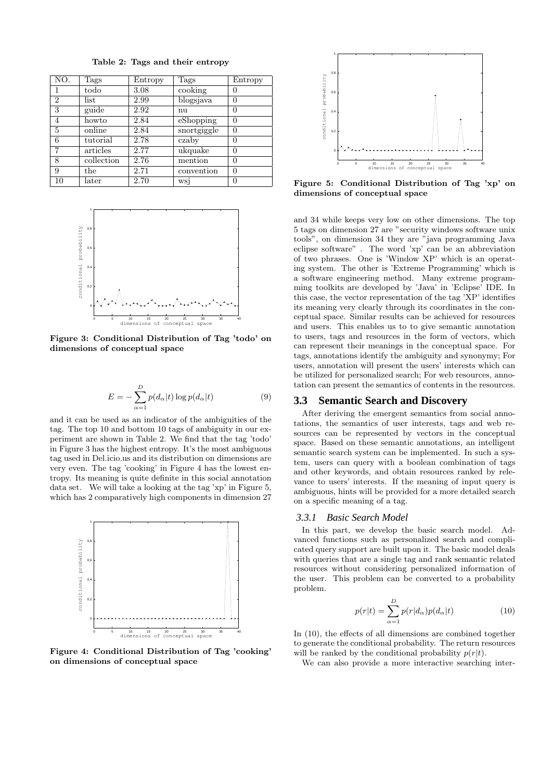| NO.            | Tags           | Entropy | Tags        | Entropy  |
|----------------|----------------|---------|-------------|----------|
|                | todo           | 3.08    | cooking     |          |
| $\overline{2}$ | list           | 2.99    | blogsjava   | 0        |
| 3              | guide          | 2.92    | nu          | $\theta$ |
| 4              | howto          | 2.84    | eShopping   | 0        |
| 5              | online         | 2.84    | snortgiggle | $\Omega$ |
| 6              | tutorial       | 2.78    | czaby       | 0        |
| 7              | articles       | 2.77    | ukquake     | 0        |
| 8              | collection     | 2.76    | mention     | 0        |
| 9              | the            | 2.71    | convention  | 0        |
| 10             | $_{\rm later}$ | 2.70    | wsi         |          |

Table 2: Tags and their entropy



Figure 3: Conditional Distribution of Tag 'todo' on dimensions of conceptual space

$$
E = -\sum_{\alpha=1}^{D} p(d_{\alpha}|t) \log p(d_{\alpha}|t)
$$
 (9)

and it can be used as an indicator of the ambiguities of the tag. The top 10 and bottom 10 tags of ambiguity in our experiment are shown in Table 2. We find that the tag 'todo' in Figure 3 has the highest entropy. It's the most ambiguous tag used in Del.icio.us and its distribution on dimensions are very even. The tag 'cooking' in Figure 4 has the lowest entropy. Its meaning is quite definite in this social annotation data set. We will take a looking at the tag 'xp' in Figure 5, which has 2 comparatively high components in dimension 27



Figure 4: Conditional Distribution of Tag 'cooking' on dimensions of conceptual space



Figure 5: Conditional Distribution of Tag 'xp' on dimensions of conceptual space

and 34 while keeps very low on other dimensions. The top 5 tags on dimension 27 are "security windows software unix tools", on dimension 34 they are "java programming Java eclipse software" . The word 'xp' can be an abbreviation of two phrases. One is 'Window XP' which is an operating system. The other is 'Extreme Programming' which is a software engineering method. Many extreme programming toolkits are developed by 'Java' in 'Eclipse' IDE. In this case, the vector representation of the tag 'XP' identifies its meaning very clearly through its coordinates in the conceptual space. Similar results can be achieved for resources and users. This enables us to to give semantic annotation to users, tags and resources in the form of vectors, which can represent their meanings in the conceptual space. For tags, annotations identify the ambiguity and synonymy; For users, annotation will present the users' interests which can be utilized for personalized search; For web resources, annotation can present the semantics of contents in the resources.

## **3.3 Semantic Search and Discovery**

After deriving the emergent semantics from social annotations, the semantics of user interests, tags and web resources can be represented by vectors in the conceptual space. Based on these semantic annotations, an intelligent semantic search system can be implemented. In such a system, users can query with a boolean combination of tags and other keywords, and obtain resources ranked by relevance to users' interests. If the meaning of input query is ambiguous, hints will be provided for a more detailed search on a specific meaning of a tag.

#### *3.3.1 Basic Search Model*

In this part, we develop the basic search model. Advanced functions such as personalized search and complicated query support are built upon it. The basic model deals with queries that are a single tag and rank semantic related resources without considering personalized information of the user. This problem can be converted to a probability problem.

$$
p(r|t) = \sum_{\alpha=1}^{D} p(r|d_{\alpha})p(d_{\alpha}|t)
$$
\n(10)

In (10), the effects of all dimensions are combined together to generate the conditional probability. The return resources will be ranked by the conditional probability  $p(r|t)$ .

We can also provide a more interactive searching inter-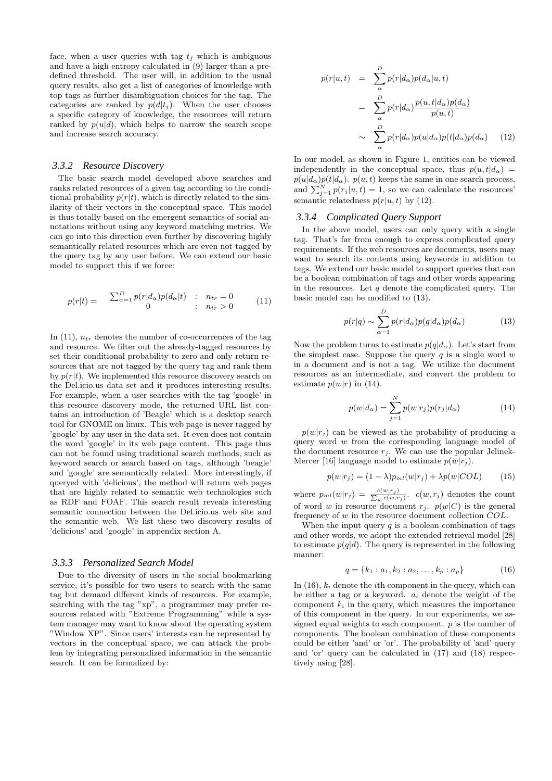face, when a user queries with tag  $t_i$  which is ambiguous and have a high entropy calculated in (9) larger than a predefined threshold. The user will, in addition to the usual query results, also get a list of categories of knowledge with top tags as further disambiguation choices for the tag. The categories are ranked by  $p(d|t_j)$ . When the user chooses a specific category of knowledge, the resources will return ranked by  $p(u|d)$ , which helps to narrow the search scope and increase search accuracy.

#### *3.3.2 Resource Discovery*

The basic search model developed above searches and ranks related resources of a given tag according to the conditional probability  $p(r|t)$ , which is directly related to the similarity of their vectors in the conceptual space. This model is thus totally based on the emergent semantics of social annotations without using any keyword matching metrics. We can go into this direction even further by discovering highly semantically related resources which are even not tagged by the query tag by any user before. We can extend our basic model to support this if we force:

$$
p(r|t) = \sum_{\alpha=1}^{D} \frac{p(r|d_{\alpha})p(d_{\alpha}|t)}{0} \quad : \quad n_{tr} = 0 \quad (11)
$$

In  $(11)$ ,  $n_{tr}$  denotes the number of co-occurrences of the tag and resource. We filter out the already-tagged resources by set their conditional probability to zero and only return resources that are not tagged by the query tag and rank them by  $p(r|t)$ . We implemented this resource discovery search on the Del.icio.us data set and it produces interesting results. For example, when a user searches with the tag 'google' in this resource discovery mode, the returned URL list contains an introduction of 'Beagle' which is a desktop search tool for GNOME on linux. This web page is never tagged by 'google' by any user in the data set. It even does not contain the word 'google' in its web page content. This page thus can not be found using traditional search methods, such as keyword search or search based on tags, although 'beagle' and 'google' are semantically related. More interestingly, if queryed with 'delicious', the method will return web pages that are highly related to semantic web technologies such as RDF and FOAF. This search result reveals interesting semantic connection between the Del.icio.us web site and the semantic web. We list these two discovery results of 'delicious' and 'google' in appendix section A.

#### *3.3.3 Personalized Search Model*

Due to the diversity of users in the social bookmarking service, it's possible for two users to search with the same tag but demand different kinds of resources. For example, searching with the tag "xp", a programmer may prefer resources related with "Extreme Programming" while a system manager may want to know about the operating system "Window XP". Since users' interests can be represented by vectors in the conceptual space, we can attack the problem by integrating personalized information in the semantic search. It can be formalized by:

$$
p(r|u,t) = \sum_{\alpha}^{D} p(r|d_{\alpha})p(d_{\alpha}|u,t)
$$
  

$$
= \sum_{\alpha}^{D} p(r|d_{\alpha}) \frac{p(u,t|d_{\alpha})p(d_{\alpha})}{p(u,t)}
$$
  

$$
\sim \sum_{\alpha}^{D} p(r|d_{\alpha})p(u|d_{\alpha})p(t|d_{\alpha})p(d_{\alpha}) \quad (12)
$$

In our model, as shown in Figure 1, entities can be viewed independently in the conceptual space, thus  $p(u, t|d_{\alpha}) =$  $p(u|d_{\alpha})p(t|d_{\alpha})$ .  $p(u,t)$  keeps the same in one search process,  $p(u|\omega_{\alpha})p(v|\omega_{\alpha})$ .  $p(u, v)$  keeps the same in one search process,<br>and  $\sum_{j=1}^{N} p(r_j|u, t) = 1$ , so we can calculate the resources' semantic relatedness  $p(r|u, t)$  by (12).

### *3.3.4 Complicated Query Support*

In the above model, users can only query with a single tag. That's far from enough to express complicated query requirements. If the web resources are documents, users may want to search its contents using keywords in addition to tags. We extend our basic model to support queries that can be a boolean combination of tags and other words appearing in the resources. Let  $q$  denote the complicated query. The basic model can be modified to (13).

$$
p(r|q) \sim \sum_{\alpha=1}^{D} p(r|d_{\alpha}) p(q|d_{\alpha}) p(d_{\alpha})
$$
\n(13)

Now the problem turns to estimate  $p(q|d_{\alpha})$ . Let's start from the simplest case. Suppose the query q is a single word  $w$ in a document and is not a tag. We utilize the document resources as an intermediate, and convert the problem to estimate  $p(w|r)$  in (14).

$$
p(w|d_{\alpha}) = \sum_{j=1}^{N} p(w|r_j) p(r_j|d_{\alpha})
$$
\n(14)

 $p(w|r_i)$  can be viewed as the probability of producing a query word w from the corresponding language model of the document resource  $r_j$ . We can use the popular Jelinek-Mercer [16] language model to estimate  $p(w|r_i)$ .

$$
p(w|r_j) = (1 - \lambda)p_{ml}(w|r_j) + \lambda p(w|COL) \tag{15}
$$

where  $p_{ml}(w|r_j) = \frac{c(w,r_j)}{\sum_w c(w,r_j)}$ .  $c(w,r_j)$  denotes the count of word w in resource document  $r_j$ .  $p(w|C)$  is the general frequency of w in the resource document collection COL.

When the input query  $q$  is a boolean combination of tags and other words, we adopt the extended retrieval model [28] to estimate  $p(q|d)$ . The query is represented in the following manner:

$$
q = \{k_1 : a_1, k_2 : a_2, \dots, k_p : a_p\}
$$
 (16)

In  $(16)$ ,  $k_i$  denote the *i*th component in the query, which can be either a tag or a keyword.  $a_i$  denote the weight of the component  $k_i$  in the query, which measures the importance of this component in the query. In our experiments, we assigned equal weights to each component.  $p$  is the number of components. The boolean combination of these components could be either 'and' or 'or'. The probability of 'and' query and 'or' query can be calculated in (17) and (18) respectively using [28].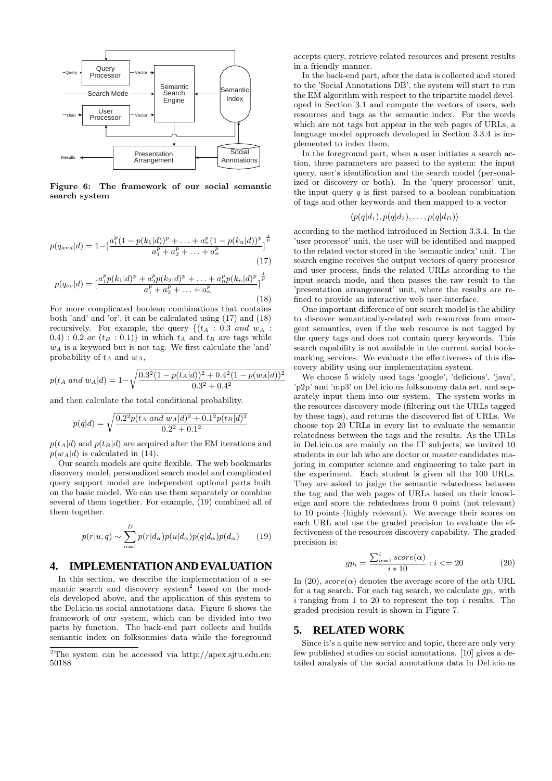

Figure 6: The framework of our social semantic search system

$$
p(q_{and}|d) = 1 - \left[\frac{a_1^p(1 - p(k_1|d))^p + \ldots + a_n^p(1 - p(k_n|d))^p}{a_1^p + a_2^p + \ldots + a_n^p}\right]^{\frac{1}{p}}
$$
\n(17)

$$
p(q_{or}|d) = \left[\frac{a_1^p p(k_1|d)^p + a_2^p p(k_2|d)^p + \ldots + a_n^p p(k_n|d)^p}{a_1^p + a_2^p + \ldots + a_n^p}\right]^{\frac{1}{p}}
$$
\n(18)

For more complicated boolean combinations that contains both 'and' and 'or', it can be calculated using (17) and (18) recursively. For example, the query  $\{(t_A : 0.3 \text{ and } w_A :$  $(0.4) : 0.2 \text{ or } (t_B : 0.1)$  in which  $t_A$  and  $t_B$  are tags while  $w_A$  is a keyword but is not tag. We first calculate the 'and' probability of  $t_A$  and  $w_A$ ,

$$
p(t_A \text{ and } w_A|d) = 1 - \sqrt{\frac{0.3^2(1 - p(t_A|d))^2 + 0.4^2(1 - p(w_A|d))^2}{0.3^2 + 0.4^2}}
$$

and then calculate the total conditional probability.

$$
p(q|d) = \sqrt{\frac{0.2^2 p(t_A \text{ and } w_A|d)^2 + 0.1^2 p(t_B|d)^2}{0.2^2 + 0.1^2}}
$$

 $p(t_A|d)$  and  $p(t_B|d)$  are acquired after the EM iterations and  $p(w_A|d)$  is calculated in (14).

Our search models are quite flexible. The web bookmarks discovery model, personalized search model and complicated query support model are independent optional parts built on the basic model. We can use them separately or combine several of them together. For example, (19) combined all of them together.

$$
p(r|u,q) \sim \sum_{\alpha=1}^{D} p(r|d_{\alpha}) p(u|d_{\alpha}) p(q|d_{\alpha}) p(d_{\alpha}) \qquad (19)
$$

## **4. IMPLEMENTATION AND EVALUATION**

In this section, we describe the implementation of a semantic search and discovery system<sup>2</sup> based on the models developed above, and the application of this system to the Del.icio.us social annotations data. Figure 6 shows the framework of our system, which can be divided into two parts by function. The back-end part collects and builds semantic index on folksonmies data while the foreground

accepts query, retrieve related resources and present results in a friendly manner.

In the back-end part, after the data is collected and stored to the 'Social Annotations DB', the system will start to run the EM algorithm with respect to the tripartite model developed in Section 3.1 and compute the vectors of users, web resources and tags as the semantic index. For the words which are not tags but appear in the web pages of URLs, a language model approach developed in Section 3.3.4 is implemented to index them.

In the foreground part, when a user initiates a search action, three parameters are passed to the system: the input query, user's identification and the search model (personalized or discovery or both). In the 'query processor' unit, the input query  $q$  is first parsed to a boolean combination of tags and other keywords and then mapped to a vector

$$
\langle p(q|d_1), p(q|d_2), \ldots, p(q|d_D) \rangle
$$

according to the method introduced in Section 3.3.4. In the 'user processor' unit, the user will be identified and mapped to the related vector stored in the 'semantic index' unit. The search engine receives the output vectors of query processor and user process, finds the related URLs according to the input search mode, and then passes the raw result to the 'presentation arrangement' unit, where the results are refined to provide an interactive web user-interface.

One important difference of our search model is the ability to discover semantically-related web resources from emergent semantics, even if the web resource is not tagged by the query tags and does not contain query keywords. This search capability is not available in the current social bookmarking services. We evaluate the effectiveness of this discovery ability using our implementation system.

We choose 5 widely used tags 'google', 'delicious', 'java', 'p2p' and 'mp3' on Del.icio.us folksonomy data set, and separately input them into our system. The system works in the resources discovery mode (filtering out the URLs tagged by these tags), and returns the discovered list of URLs. We choose top 20 URLs in every list to evaluate the semantic relatedness between the tags and the results. As the URLs in Del.icio.us are mainly on the IT subjects, we invited 10 students in our lab who are doctor or master candidates majoring in computer science and engineering to take part in the experiment. Each student is given all the 100 URLs. They are asked to judge the semantic relatedness between the tag and the web pages of URLs based on their knowledge and score the relatedness from 0 point (not relevant) to 10 points (highly relevant). We average their scores on each URL and use the graded precision to evaluate the effectiveness of the resources discovery capability. The graded precision is:

$$
gp_i = \frac{\sum_{\alpha=1}^{i} score(\alpha)}{i * 10} : i <= 20
$$
 (20)

In (20),  $score(\alpha)$  denotes the average score of the  $\alpha$ th URL for a tag search. For each tag search, we calculate  $gp_i$ , with  $i$  ranging from 1 to 20 to represent the top  $i$  results. The graded precision result is shown in Figure 7.

## **5. RELATED WORK**

Since it's a quite new service and topic, there are only very few published studies on social annotations. [10] gives a detailed analysis of the social annotations data in Del.icio.us

 $2$ The system can be accessed via http://apex.sjtu.edu.cn: 50188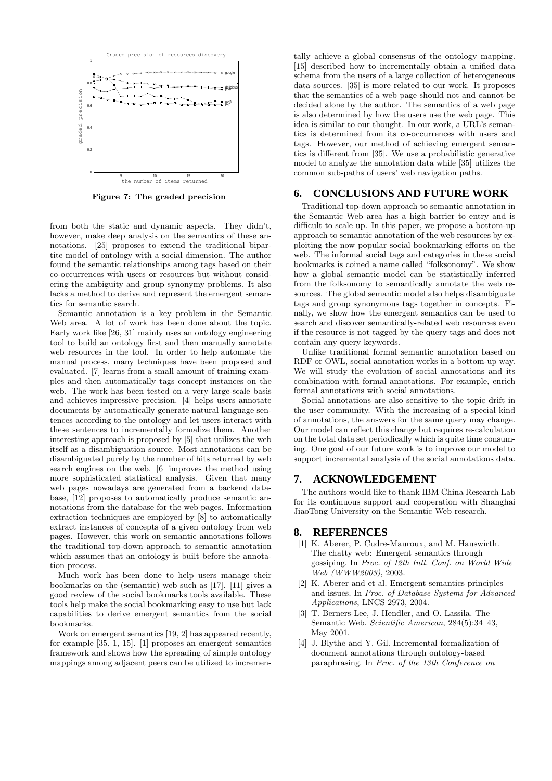

Figure 7: The graded precision

from both the static and dynamic aspects. They didn't, however, make deep analysis on the semantics of these annotations. [25] proposes to extend the traditional bipartite model of ontology with a social dimension. The author found the semantic relationships among tags based on their co-occurrences with users or resources but without considering the ambiguity and group synonymy problems. It also lacks a method to derive and represent the emergent semantics for semantic search.

Semantic annotation is a key problem in the Semantic Web area. A lot of work has been done about the topic. Early work like [26, 31] mainly uses an ontology engineering tool to build an ontology first and then manually annotate web resources in the tool. In order to help automate the manual process, many techniques have been proposed and evaluated. [7] learns from a small amount of training examples and then automatically tags concept instances on the web. The work has been tested on a very large-scale basis and achieves impressive precision. [4] helps users annotate documents by automatically generate natural language sentences according to the ontology and let users interact with these sentences to incrementally formalize them. Another interesting approach is proposed by [5] that utilizes the web itself as a disambiguation source. Most annotations can be disambiguated purely by the number of hits returned by web search engines on the web. [6] improves the method using more sophisticated statistical analysis. Given that many web pages nowadays are generated from a backend database, [12] proposes to automatically produce semantic annotations from the database for the web pages. Information extraction techniques are employed by [8] to automatically extract instances of concepts of a given ontology from web pages. However, this work on semantic annotations follows the traditional top-down approach to semantic annotation which assumes that an ontology is built before the annotation process.

Much work has been done to help users manage their bookmarks on the (semantic) web such as [17]. [11] gives a good review of the social bookmarks tools available. These tools help make the social bookmarking easy to use but lack capabilities to derive emergent semantics from the social bookmarks.

Work on emergent semantics [19, 2] has appeared recently, for example [35, 1, 15]. [1] proposes an emergent semantics framework and shows how the spreading of simple ontology mappings among adjacent peers can be utilized to incremen-

tally achieve a global consensus of the ontology mapping. [15] described how to incrementally obtain a unified data schema from the users of a large collection of heterogeneous data sources. [35] is more related to our work. It proposes that the semantics of a web page should not and cannot be decided alone by the author. The semantics of a web page is also determined by how the users use the web page. This idea is similar to our thought. In our work, a URL's semantics is determined from its co-occurrences with users and tags. However, our method of achieving emergent semantics is different from [35]. We use a probabilistic generative model to analyze the annotation data while [35] utilizes the common sub-paths of users' web navigation paths.

## **6. CONCLUSIONS AND FUTURE WORK**

Traditional top-down approach to semantic annotation in the Semantic Web area has a high barrier to entry and is difficult to scale up. In this paper, we propose a bottom-up approach to semantic annotation of the web resources by exploiting the now popular social bookmarking efforts on the web. The informal social tags and categories in these social bookmarks is coined a name called "folksonomy". We show how a global semantic model can be statistically inferred from the folksonomy to semantically annotate the web resources. The global semantic model also helps disambiguate tags and group synonymous tags together in concepts. Finally, we show how the emergent semantics can be used to search and discover semantically-related web resources even if the resource is not tagged by the query tags and does not contain any query keywords.

Unlike traditional formal semantic annotation based on RDF or OWL, social annotation works in a bottom-up way. We will study the evolution of social annotations and its combination with formal annotations. For example, enrich formal annotations with social annotations.

Social annotations are also sensitive to the topic drift in the user community. With the increasing of a special kind of annotations, the answers for the same query may change. Our model can reflect this change but requires re-calculation on the total data set periodically which is quite time consuming. One goal of our future work is to improve our model to support incremental analysis of the social annotations data.

## **7. ACKNOWLEDGEMENT**

The authors would like to thank IBM China Research Lab for its continuous support and cooperation with Shanghai JiaoTong University on the Semantic Web research.

## **8. REFERENCES**

- [1] K. Aberer, P. Cudre-Mauroux, and M. Hauswirth. The chatty web: Emergent semantics through gossiping. In Proc. of 12th Intl. Conf. on World Wide Web (WWW2003), 2003.
- [2] K. Aberer and et al. Emergent semantics principles and issues. In Proc. of Database Systems for Advanced Applications, LNCS 2973, 2004.
- [3] T. Berners-Lee, J. Hendler, and O. Lassila. The Semantic Web. Scientific American, 284(5):34–43, May 2001.
- [4] J. Blythe and Y. Gil. Incremental formalization of document annotations through ontology-based paraphrasing. In Proc. of the 13th Conference on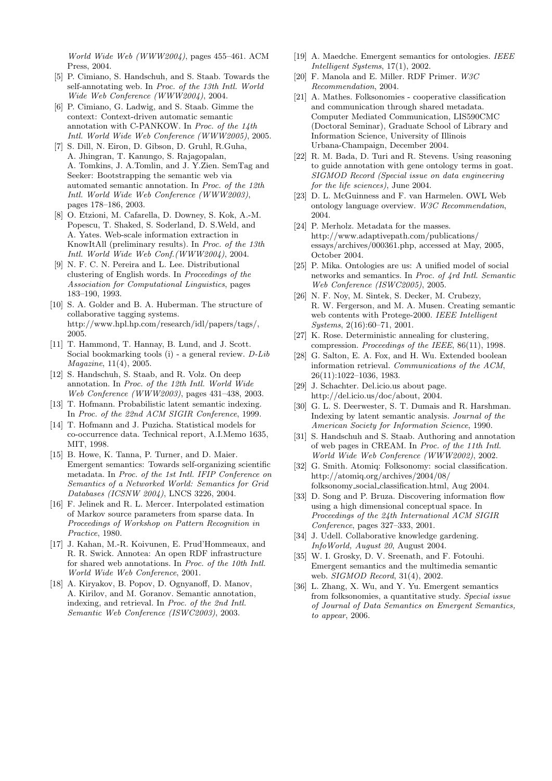World Wide Web (WWW2004), pages 455–461. ACM Press, 2004.

- [5] P. Cimiano, S. Handschuh, and S. Staab. Towards the self-annotating web. In Proc. of the 13th Intl. World Wide Web Conference (WWW2004), 2004.
- [6] P. Cimiano, G. Ladwig, and S. Staab. Gimme the context: Context-driven automatic semantic annotation with C-PANKOW. In Proc. of the 14th Intl. World Wide Web Conference (WWW2005), 2005.
- [7] S. Dill, N. Eiron, D. Gibson, D. Gruhl, R.Guha, A. Jhingran, T. Kanungo, S. Rajagopalan, A. Tomkins, J. A.Tomlin, and J. Y.Zien. SemTag and Seeker: Bootstrapping the semantic web via automated semantic annotation. In Proc. of the 12th Intl. World Wide Web Conference (WWW2003), pages 178–186, 2003.
- [8] O. Etzioni, M. Cafarella, D. Downey, S. Kok, A.-M. Popescu, T. Shaked, S. Soderland, D. S.Weld, and A. Yates. Web-scale information extraction in KnowItAll (preliminary results). In Proc. of the 13th Intl. World Wide Web Conf.(WWW2004), 2004.
- [9] N. F. C. N. Pereira and L. Lee. Distributional clustering of English words. In Proceedings of the Association for Computational Linguistics, pages 183–190, 1993.
- [10] S. A. Golder and B. A. Huberman. The structure of collaborative tagging systems. http://www.hpl.hp.com/research/idl/papers/tags/, 2005.
- [11] T. Hammond, T. Hannay, B. Lund, and J. Scott. Social bookmarking tools  $(i)$  - a general review.  $D-Lib$ Magazine, 11(4), 2005.
- [12] S. Handschuh, S. Staab, and R. Volz. On deep annotation. In Proc. of the 12th Intl. World Wide Web Conference (WWW2003), pages 431–438, 2003.
- [13] T. Hofmann. Probabilistic latent semantic indexing. In Proc. of the 22nd ACM SIGIR Conference, 1999.
- [14] T. Hofmann and J. Puzicha. Statistical models for co-occurrence data. Technical report, A.I.Memo 1635, MIT, 1998.
- [15] B. Howe, K. Tanna, P. Turner, and D. Maier. Emergent semantics: Towards self-organizing scientific metadata. In Proc. of the 1st Intl. IFIP Conference on Semantics of a Networked World: Semantics for Grid Databases (ICSNW 2004), LNCS 3226, 2004.
- [16] F. Jelinek and R. L. Mercer. Interpolated estimation of Markov source parameters from sparse data. In Proceedings of Workshop on Pattern Recognition in Practice, 1980.
- [17] J. Kahan, M.-R. Koivunen, E. Prud'Hommeaux, and R. R. Swick. Annotea: An open RDF infrastructure for shared web annotations. In Proc. of the 10th Intl. World Wide Web Conference, 2001.
- [18] A. Kiryakov, B. Popov, D. Ognyanoff, D. Manov, A. Kirilov, and M. Goranov. Semantic annotation, indexing, and retrieval. In Proc. of the 2nd Intl. Semantic Web Conference (ISWC2003), 2003.
- [19] A. Maedche. Emergent semantics for ontologies. IEEE Intelligent Systems, 17(1), 2002.
- [20] F. Manola and E. Miller. RDF Primer. W3C Recommendation, 2004.
- [21] A. Mathes. Folksonomies cooperative classification and communication through shared metadata. Computer Mediated Communication, LIS590CMC (Doctoral Seminar), Graduate School of Library and Information Science, University of Illinois Urbana-Champaign, December 2004.
- [22] R. M. Bada, D. Turi and R. Stevens. Using reasoning to guide annotation with gene ontology terms in goat. SIGMOD Record (Special issue on data engineering for the life sciences), June 2004.
- [23] D. L. McGuinness and F. van Harmelen. OWL Web ontology language overview. W3C Recommendation, 2004.
- [24] P. Merholz. Metadata for the masses. http://www.adaptivepath.com/publications/ essays/archives/000361.php, accessed at May, 2005, October 2004.
- [25] P. Mika. Ontologies are us: A unified model of social networks and semantics. In Proc. of 4rd Intl. Semantic Web Conference (ISWC2005), 2005.
- [26] N. F. Noy, M. Sintek, S. Decker, M. Crubezy, R. W. Fergerson, and M. A. Musen. Creating semantic web contents with Protege-2000. IEEE Intelligent Systems, 2(16):60–71, 2001.
- [27] K. Rose. Deterministic annealing for clustering, compression. Proceedings of the IEEE, 86(11), 1998.
- [28] G. Salton, E. A. Fox, and H. Wu. Extended boolean information retrieval. Communications of the ACM, 26(11):1022–1036, 1983.
- [29] J. Schachter. Del.icio.us about page. http://del.icio.us/doc/about, 2004.
- [30] G. L. S. Deerwester, S. T. Dumais and R. Harshman. Indexing by latent semantic analysis. Journal of the American Society for Information Science, 1990.
- [31] S. Handschuh and S. Staab. Authoring and annotation of web pages in CREAM. In Proc. of the 11th Intl. World Wide Web Conference (WWW2002), 2002.
- [32] G. Smith. Atomiq: Folksonomy: social classification. http://atomiq.org/archives/2004/08/ folksonomy social classification.html, Aug 2004.
- [33] D. Song and P. Bruza. Discovering information flow using a high dimensional conceptual space. In Proceedings of the 24th International ACM SIGIR Conference, pages 327–333, 2001.
- [34] J. Udell. Collaborative knowledge gardening. InfoWorld, August 20, August 2004.
- [35] W. I. Grosky, D. V. Sreenath, and F. Fotouhi. Emergent semantics and the multimedia semantic web. SIGMOD Record, 31(4), 2002.
- [36] L. Zhang, X. Wu, and Y. Yu. Emergent semantics from folksonomies, a quantitative study. Special issue of Journal of Data Semantics on Emergent Semantics, to appear, 2006.